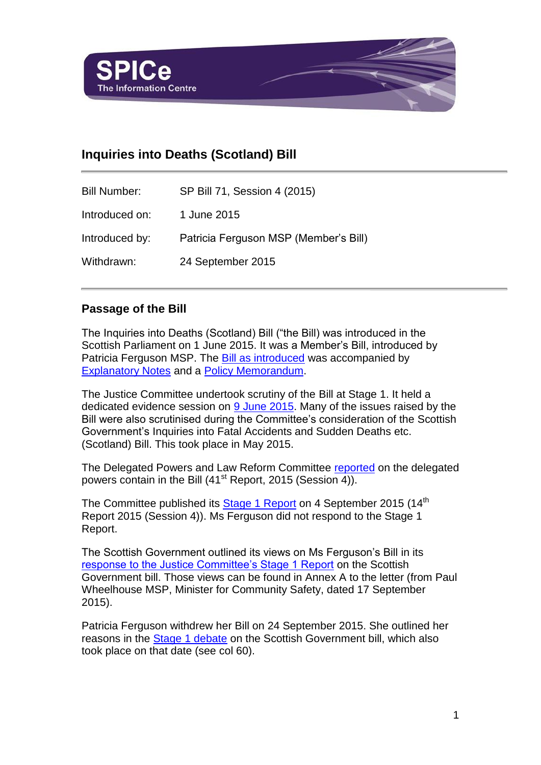

# **Inquiries into Deaths (Scotland) Bill**

| <b>Bill Number:</b> | SP Bill 71, Session 4 (2015)          |
|---------------------|---------------------------------------|
| Introduced on:      | 1 June 2015                           |
| Introduced by:      | Patricia Ferguson MSP (Member's Bill) |
| Withdrawn:          | 24 September 2015                     |

### **Passage of the Bill**

The Inquiries into Deaths (Scotland) Bill ("the Bill) was introduced in the Scottish Parliament on 1 June 2015. It was a Member's Bill, introduced by Patricia Ferguson MSP. The [Bill as introduced](http://www.scottish.parliament.uk/S4_Bills/Inquiries%20into%20Deaths%20Scotland%20Bill/b71s4-introd.pdf) was accompanied by [Explanatory Notes](http://www.scottish.parliament.uk/S4_Bills/Inquiries%20into%20Deaths%20Scotland%20Bill/b71s4-introd-en.pdf) and a [Policy Memorandum.](http://www.scottish.parliament.uk/S4_Bills/Inquiries%20into%20Deaths%20Scotland%20Bill/b71s4-introd-pm.pdf)

The Justice Committee undertook scrutiny of the Bill at Stage 1. It held a dedicated evidence session on [9 June 2015.](http://www.scottish.parliament.uk/parliamentarybusiness/report.aspx?r=10008&mode=pdf) Many of the issues raised by the Bill were also scrutinised during the Committee's consideration of the Scottish Government's Inquiries into Fatal Accidents and Sudden Deaths etc. (Scotland) Bill. This took place in May 2015.

The Delegated Powers and Law Reform Committee [reported](http://www.scottish.parliament.uk/parliamentarybusiness/CurrentCommittees/90705.aspx) on the delegated powers contain in the Bill (41<sup>st</sup> Report, 2015 (Session 4)).

The Committee published its **Stage 1 Report on 4 September 2015 (14<sup>th</sup>** Report 2015 (Session 4)). Ms Ferguson did not respond to the Stage 1 Report.

The Scottish Government outlined its views on Ms Ferguson's Bill in its [response to the Justice Committee's Stage 1 Report](http://www.scottish.parliament.uk/S4_JusticeCommittee/Inquiries/20150917SGresptoDeathsBills.pdf) on the Scottish Government bill. Those views can be found in Annex A to the letter (from Paul Wheelhouse MSP, Minister for Community Safety, dated 17 September 2015).

Patricia Ferguson withdrew her Bill on 24 September 2015. She outlined her reasons in the [Stage 1 debate](http://www.scottish.parliament.uk/parliamentarybusiness/report.aspx?r=10104&mode=pdf) on the Scottish Government bill, which also took place on that date (see col 60).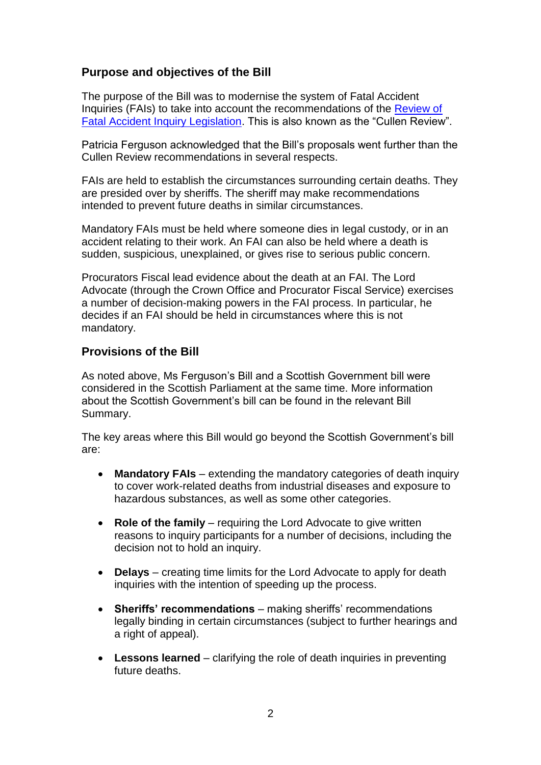## **Purpose and objectives of the Bill**

The purpose of the Bill was to modernise the system of Fatal Accident Inquiries (FAIs) to take into account the recommendations of the [Review of](http://www.gov.scot/About/Review/fatal-accident-review)  [Fatal Accident Inquiry Legislation.](http://www.gov.scot/About/Review/fatal-accident-review) This is also known as the "Cullen Review".

Patricia Ferguson acknowledged that the Bill's proposals went further than the Cullen Review recommendations in several respects.

FAIs are held to establish the circumstances surrounding certain deaths. They are presided over by sheriffs. The sheriff may make recommendations intended to prevent future deaths in similar circumstances.

Mandatory FAIs must be held where someone dies in legal custody, or in an accident relating to their work. An FAI can also be held where a death is sudden, suspicious, unexplained, or gives rise to serious public concern.

Procurators Fiscal lead evidence about the death at an FAI. The Lord Advocate (through the Crown Office and Procurator Fiscal Service) exercises a number of decision-making powers in the FAI process. In particular, he decides if an FAI should be held in circumstances where this is not mandatory.

### **Provisions of the Bill**

As noted above, Ms Ferguson's Bill and a Scottish Government bill were considered in the Scottish Parliament at the same time. More information about the Scottish Government's bill can be found in the relevant Bill Summary.

The key areas where this Bill would go beyond the Scottish Government's bill are:

- **Mandatory FAIs** extending the mandatory categories of death inquiry to cover work-related deaths from industrial diseases and exposure to hazardous substances, as well as some other categories.
- **Role of the family** requiring the Lord Advocate to give written reasons to inquiry participants for a number of decisions, including the decision not to hold an inquiry.
- **Delays** creating time limits for the Lord Advocate to apply for death inquiries with the intention of speeding up the process.
- **Sheriffs' recommendations** making sheriffs' recommendations legally binding in certain circumstances (subject to further hearings and a right of appeal).
- **Lessons learned** clarifying the role of death inquiries in preventing future deaths.